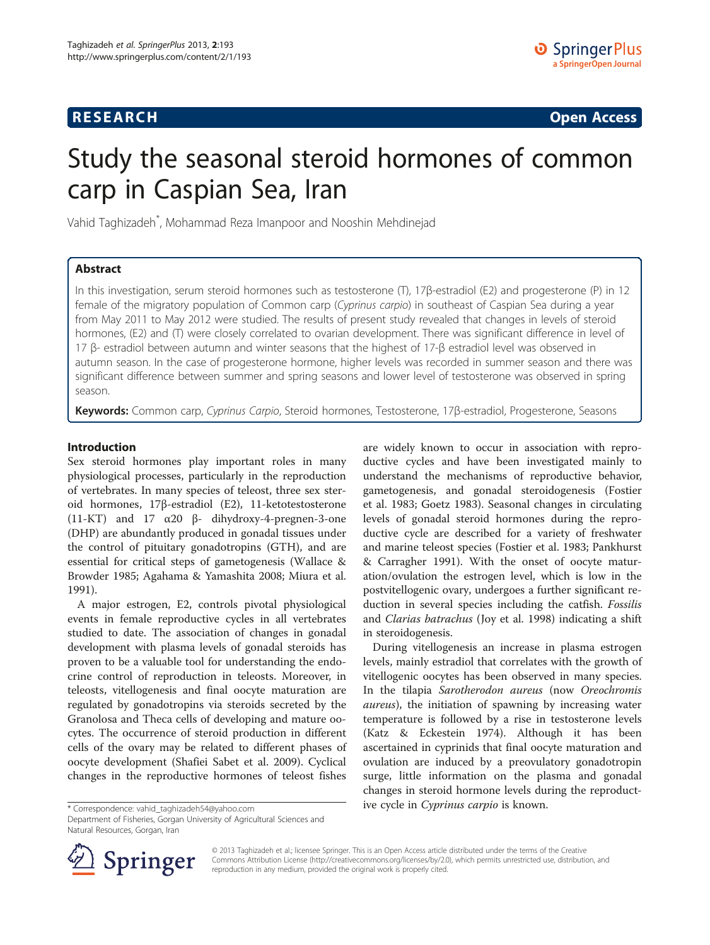## **RESEARCH RESEARCH CONSUMING ACCESS**

# Study the seasonal steroid hormones of common carp in Caspian Sea, Iran

Vahid Taghizadeh\* , Mohammad Reza Imanpoor and Nooshin Mehdinejad

## Abstract

In this investigation, serum steroid hormones such as testosterone (T), 17β-estradiol (E2) and progesterone (P) in 12 female of the migratory population of Common carp (Cyprinus carpio) in southeast of Caspian Sea during a year from May 2011 to May 2012 were studied. The results of present study revealed that changes in levels of steroid hormones, (E2) and (T) were closely correlated to ovarian development. There was significant difference in level of 17 β- estradiol between autumn and winter seasons that the highest of 17-β estradiol level was observed in autumn season. In the case of progesterone hormone, higher levels was recorded in summer season and there was significant difference between summer and spring seasons and lower level of testosterone was observed in spring season.

Keywords: Common carp, Cyprinus Carpio, Steroid hormones, Testosterone, 17ß-estradiol, Progesterone, Seasons

#### Introduction

Sex steroid hormones play important roles in many physiological processes, particularly in the reproduction of vertebrates. In many species of teleost, three sex steroid hormones, 17β-estradiol (E2), 11-ketotestosterone (11-KT) and 17 α20 β- dihydroxy-4-pregnen-3-one (DHP) are abundantly produced in gonadal tissues under the control of pituitary gonadotropins (GTH), and are essential for critical steps of gametogenesis (Wallace & Browder [1985](#page-3-0); Agahama & Yamashita [2008;](#page-3-0) Miura et al. [1991](#page-3-0)).

A major estrogen, E2, controls pivotal physiological events in female reproductive cycles in all vertebrates studied to date. The association of changes in gonadal development with plasma levels of gonadal steroids has proven to be a valuable tool for understanding the endocrine control of reproduction in teleosts. Moreover, in teleosts, vitellogenesis and final oocyte maturation are regulated by gonadotropins via steroids secreted by the Granolosa and Theca cells of developing and mature oocytes. The occurrence of steroid production in different cells of the ovary may be related to different phases of oocyte development (Shafiei Sabet et al. [2009](#page-3-0)). Cyclical changes in the reproductive hormones of teleost fishes

are widely known to occur in association with reproductive cycles and have been investigated mainly to understand the mechanisms of reproductive behavior, gametogenesis, and gonadal steroidogenesis (Fostier et al. [1983;](#page-3-0) Goetz [1983\)](#page-3-0). Seasonal changes in circulating levels of gonadal steroid hormones during the reproductive cycle are described for a variety of freshwater and marine teleost species (Fostier et al. [1983;](#page-3-0) Pankhurst & Carragher [1991](#page-3-0)). With the onset of oocyte maturation/ovulation the estrogen level, which is low in the postvitellogenic ovary, undergoes a further significant reduction in several species including the catfish. Fossilis and Clarias batrachus (Joy et al. [1998\)](#page-3-0) indicating a shift in steroidogenesis.

During vitellogenesis an increase in plasma estrogen levels, mainly estradiol that correlates with the growth of vitellogenic oocytes has been observed in many species. In the tilapia Sarotherodon aureus (now Oreochromis aureus), the initiation of spawning by increasing water temperature is followed by a rise in testosterone levels (Katz & Eckestein [1974](#page-3-0)). Although it has been ascertained in cyprinids that final oocyte maturation and ovulation are induced by a preovulatory gonadotropin surge, little information on the plasma and gonadal changes in steroid hormone levels during the reproduct\* Correspondence: [vahid\\_taghizadeh54@yahoo.com](mailto:vahid_taghizadeh54@yahoo.com) **is a very all the cycle in Cyprinus carpio is known.** 

Department of Fisheries, Gorgan University of Agricultural Sciences and Natural Resources, Gorgan, Iran



© 2013 Taghizadeh et al.; licensee Springer. This is an Open Access article distributed under the terms of the Creative Commons Attribution License (<http://creativecommons.org/licenses/by/2.0>), which permits unrestricted use, distribution, and reproduction in any medium, provided the original work is properly cited.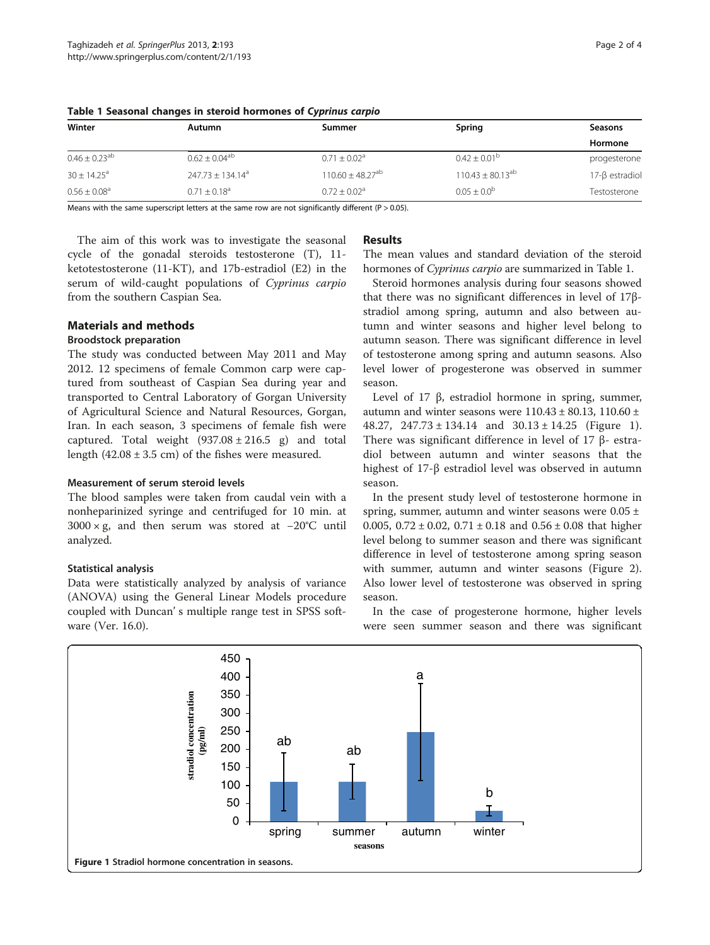| Winter                        | Autumn                       | Summer                           | Spring                  | Seasons             |
|-------------------------------|------------------------------|----------------------------------|-------------------------|---------------------|
|                               |                              |                                  |                         | Hormone             |
| $0.46 \pm 0.23$ <sup>ab</sup> | $0.62 \pm 0.04^{ab}$         | $0.71 \pm 0.02^a$                | $0.42 \pm 0.01^{\circ}$ | progesterone        |
| $30 \pm 14.25^{\circ}$        | $247.73 \pm 134.14^a$        | $110.60 \pm 48.27$ <sup>ab</sup> | $110.43 \pm 80.13^{ab}$ | $17-\beta$ estradio |
| $0.56 \pm 0.08$ <sup>a</sup>  | $0.71 \pm 0.18$ <sup>a</sup> | $0.72 + 0.02a$                   | $0.05 + 0.0^{b}$        | Testosterone        |

<span id="page-1-0"></span>Table 1 Seasonal changes in steroid hormones of Cyprinus carpio

Means with the same superscript letters at the same row are not significantly different ( $P > 0.05$ ).

The aim of this work was to investigate the seasonal cycle of the gonadal steroids testosterone (T), 11 ketotestosterone (11-KT), and 17b-estradiol (E2) in the serum of wild-caught populations of Cyprinus carpio from the southern Caspian Sea.

## Materials and methods

#### Broodstock preparation

The study was conducted between May 2011 and May 2012. 12 specimens of female Common carp were captured from southeast of Caspian Sea during year and transported to Central Laboratory of Gorgan University of Agricultural Science and Natural Resources, Gorgan, Iran. In each season, 3 specimens of female fish were captured. Total weight  $(937.08 \pm 216.5 \text{ g})$  and total length  $(42.08 \pm 3.5 \text{ cm})$  of the fishes were measured.

#### Measurement of serum steroid levels

The blood samples were taken from caudal vein with a nonheparinized syringe and centrifuged for 10 min. at 3000 × g, and then serum was stored at −20°C until analyzed.

## Statistical analysis

Data were statistically analyzed by analysis of variance (ANOVA) using the General Linear Models procedure coupled with Duncan' s multiple range test in SPSS software (Ver. 16.0).

## **Results**

The mean values and standard deviation of the steroid hormones of Cyprinus carpio are summarized in Table 1.

Steroid hormones analysis during four seasons showed that there was no significant differences in level of 17βstradiol among spring, autumn and also between autumn and winter seasons and higher level belong to autumn season. There was significant difference in level of testosterone among spring and autumn seasons. Also level lower of progesterone was observed in summer season.

Level of 17 β, estradiol hormone in spring, summer, autumn and winter seasons were  $110.43 \pm 80.13$ ,  $110.60 \pm 10.60$ 48.27,  $247.73 \pm 134.14$  and  $30.13 \pm 14.25$  (Figure 1). There was significant difference in level of 17 β- estradiol between autumn and winter seasons that the highest of 17-β estradiol level was observed in autumn season.

In the present study level of testosterone hormone in spring, summer, autumn and winter seasons were  $0.05 \pm$ 0.005,  $0.72 \pm 0.02$ ,  $0.71 \pm 0.18$  and  $0.56 \pm 0.08$  that higher level belong to summer season and there was significant difference in level of testosterone among spring season with summer, autumn and winter seasons (Figure [2](#page-2-0)). Also lower level of testosterone was observed in spring season.

In the case of progesterone hormone, higher levels were seen summer season and there was significant

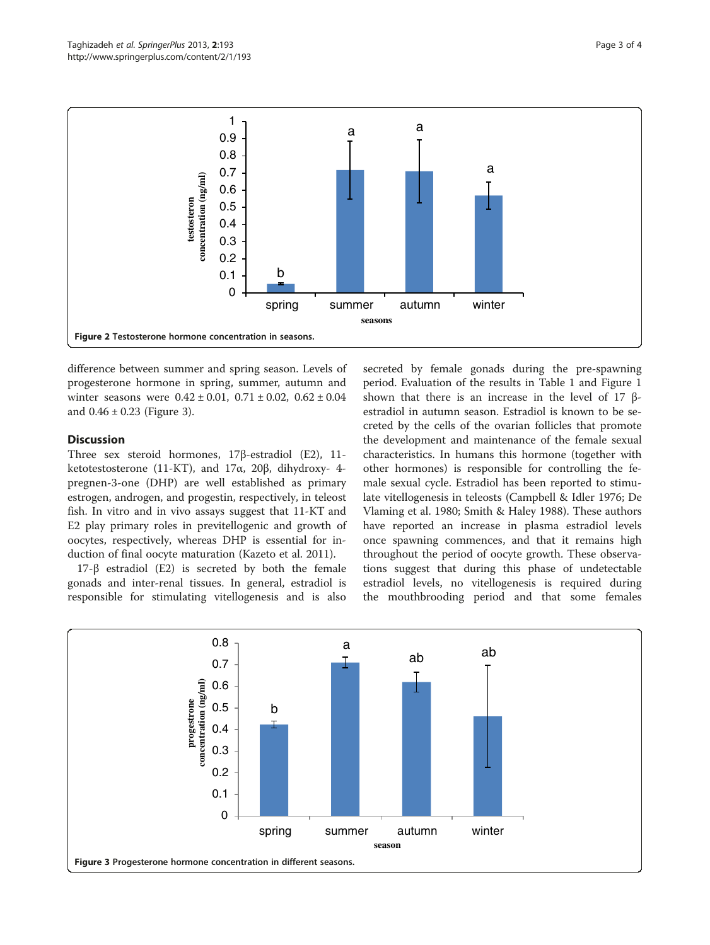<span id="page-2-0"></span>

difference between summer and spring season. Levels of progesterone hormone in spring, summer, autumn and winter seasons were  $0.42 \pm 0.01$ ,  $0.71 \pm 0.02$ ,  $0.62 \pm 0.04$ and  $0.46 \pm 0.23$  (Figure 3).

### **Discussion**

Three sex steroid hormones, 17β-estradiol (E2), 11 ketotestosterone (11-KT), and 17α, 20β, dihydroxy- 4 pregnen-3-one (DHP) are well established as primary estrogen, androgen, and progestin, respectively, in teleost fish. In vitro and in vivo assays suggest that 11-KT and E2 play primary roles in previtellogenic and growth of oocytes, respectively, whereas DHP is essential for induction of final oocyte maturation (Kazeto et al. [2011\)](#page-3-0).

17-β estradiol (E2) is secreted by both the female gonads and inter-renal tissues. In general, estradiol is responsible for stimulating vitellogenesis and is also secreted by female gonads during the pre-spawning period. Evaluation of the results in Table [1](#page-1-0) and Figure [1](#page-1-0) shown that there is an increase in the level of 17 βestradiol in autumn season. Estradiol is known to be secreted by the cells of the ovarian follicles that promote the development and maintenance of the female sexual characteristics. In humans this hormone (together with other hormones) is responsible for controlling the female sexual cycle. Estradiol has been reported to stimulate vitellogenesis in teleosts (Campbell & Idler [1976;](#page-3-0) De Vlaming et al. [1980](#page-3-0); Smith & Haley [1988](#page-3-0)). These authors have reported an increase in plasma estradiol levels once spawning commences, and that it remains high throughout the period of oocyte growth. These observations suggest that during this phase of undetectable estradiol levels, no vitellogenesis is required during the mouthbrooding period and that some females